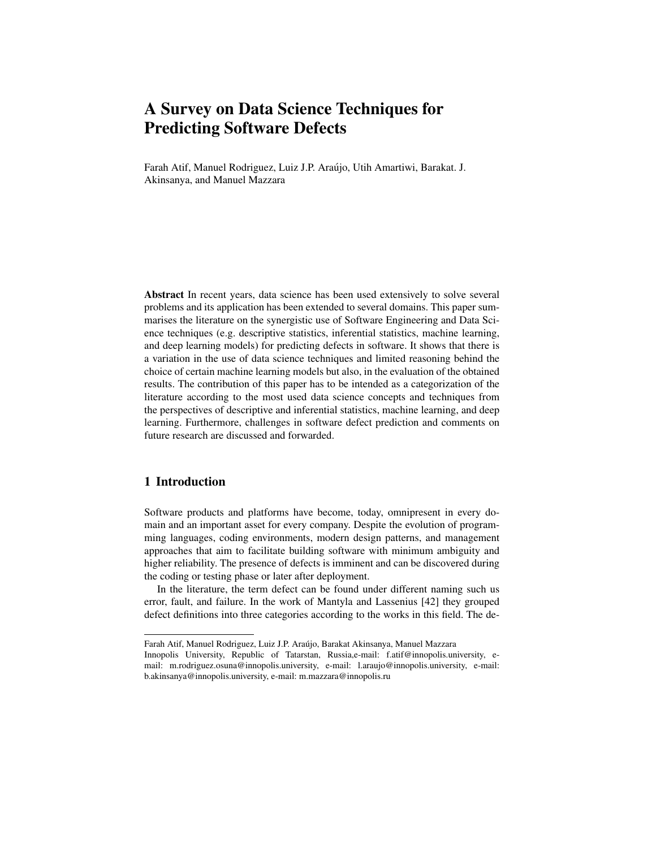Farah Atif, Manuel Rodriguez, Luiz J.P. Araujo, Utih Amartiwi, Barakat. J. ´ Akinsanya, and Manuel Mazzara

Abstract In recent years, data science has been used extensively to solve several problems and its application has been extended to several domains. This paper summarises the literature on the synergistic use of Software Engineering and Data Science techniques (e.g. descriptive statistics, inferential statistics, machine learning, and deep learning models) for predicting defects in software. It shows that there is a variation in the use of data science techniques and limited reasoning behind the choice of certain machine learning models but also, in the evaluation of the obtained results. The contribution of this paper has to be intended as a categorization of the literature according to the most used data science concepts and techniques from the perspectives of descriptive and inferential statistics, machine learning, and deep learning. Furthermore, challenges in software defect prediction and comments on future research are discussed and forwarded.

# 1 Introduction

Software products and platforms have become, today, omnipresent in every domain and an important asset for every company. Despite the evolution of programming languages, coding environments, modern design patterns, and management approaches that aim to facilitate building software with minimum ambiguity and higher reliability. The presence of defects is imminent and can be discovered during the coding or testing phase or later after deployment.

In the literature, the term defect can be found under different naming such us error, fault, and failure. In the work of Mantyla and Lassenius [42] they grouped defect definitions into three categories according to the works in this field. The de-

Farah Atif, Manuel Rodriguez, Luiz J.P. Araujo, Barakat Akinsanya, Manuel Mazzara ´

Innopolis University, Republic of Tatarstan, Russia,e-mail: f.atif@innopolis.university, email: m.rodriguez.osuna@innopolis.university, e-mail: l.araujo@innopolis.university, e-mail: b.akinsanya@innopolis.university, e-mail: m.mazzara@innopolis.ru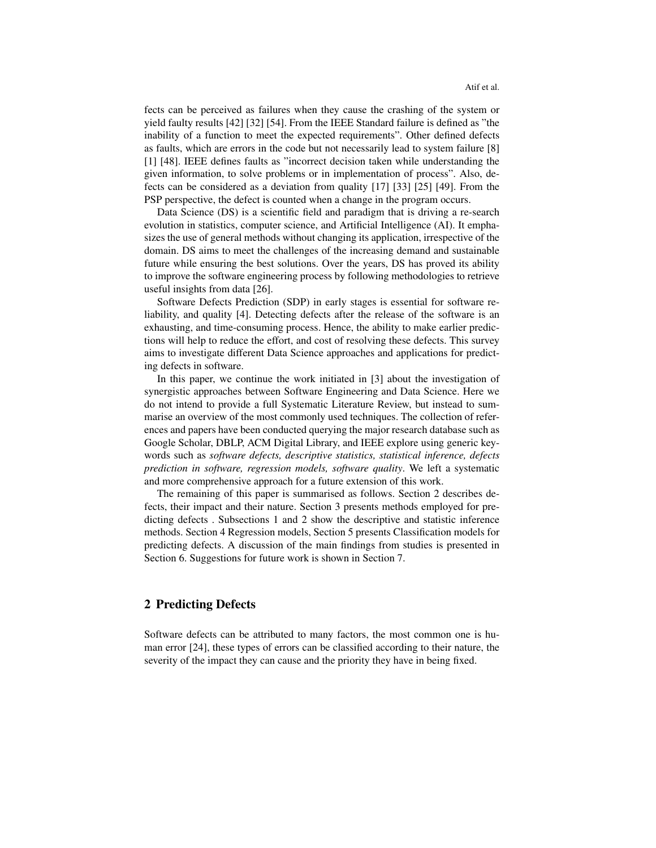fects can be perceived as failures when they cause the crashing of the system or yield faulty results [42] [32] [54]. From the IEEE Standard failure is defined as "the inability of a function to meet the expected requirements". Other defined defects as faults, which are errors in the code but not necessarily lead to system failure [8] [1] [48]. IEEE defines faults as "incorrect decision taken while understanding the given information, to solve problems or in implementation of process". Also, defects can be considered as a deviation from quality [17] [33] [25] [49]. From the PSP perspective, the defect is counted when a change in the program occurs.

Data Science (DS) is a scientific field and paradigm that is driving a re-search evolution in statistics, computer science, and Artificial Intelligence (AI). It emphasizes the use of general methods without changing its application, irrespective of the domain. DS aims to meet the challenges of the increasing demand and sustainable future while ensuring the best solutions. Over the years, DS has proved its ability to improve the software engineering process by following methodologies to retrieve useful insights from data [26].

Software Defects Prediction (SDP) in early stages is essential for software reliability, and quality [4]. Detecting defects after the release of the software is an exhausting, and time-consuming process. Hence, the ability to make earlier predictions will help to reduce the effort, and cost of resolving these defects. This survey aims to investigate different Data Science approaches and applications for predicting defects in software.

In this paper, we continue the work initiated in [3] about the investigation of synergistic approaches between Software Engineering and Data Science. Here we do not intend to provide a full Systematic Literature Review, but instead to summarise an overview of the most commonly used techniques. The collection of references and papers have been conducted querying the major research database such as Google Scholar, DBLP, ACM Digital Library, and IEEE explore using generic keywords such as *software defects, descriptive statistics, statistical inference, defects prediction in software, regression models, software quality*. We left a systematic and more comprehensive approach for a future extension of this work.

The remaining of this paper is summarised as follows. Section 2 describes defects, their impact and their nature. Section 3 presents methods employed for predicting defects . Subsections 1 and 2 show the descriptive and statistic inference methods. Section 4 Regression models, Section 5 presents Classification models for predicting defects. A discussion of the main findings from studies is presented in Section 6. Suggestions for future work is shown in Section 7.

#### 2 Predicting Defects

Software defects can be attributed to many factors, the most common one is human error [24], these types of errors can be classified according to their nature, the severity of the impact they can cause and the priority they have in being fixed.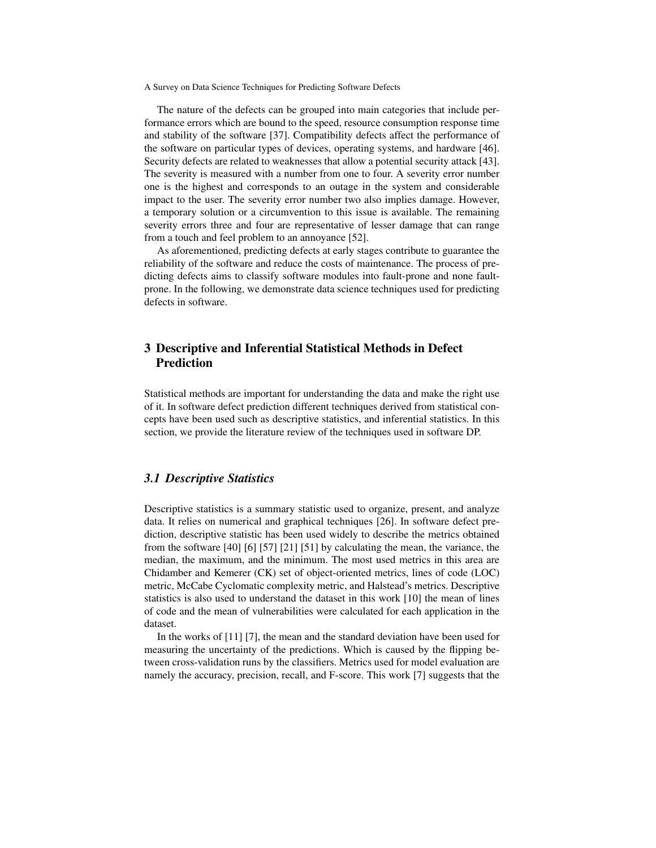The nature of the defects can be grouped into main categories that include performance errors which are bound to the speed, resource consumption response time and stability of the software [37]. Compatibility defects affect the performance of the software on particular types of devices, operating systems, and hardware [46]. Security defects are related to weaknesses that allow a potential security attack [43]. The severity is measured with a number from one to four. A severity error number one is the highest and corresponds to an outage in the system and considerable impact to the user. The severity error number two also implies damage. However, a temporary solution or a circumvention to this issue is available. The remaining severity errors three and four are representative of lesser damage that can range from a touch and feel problem to an annoyance [52].

As aforementioned, predicting defects at early stages contribute to guarantee the reliability of the software and reduce the costs of maintenance. The process of predicting defects aims to classify software modules into fault-prone and none faultprone. In the following, we demonstrate data science techniques used for predicting defects in software.

# 3 Descriptive and Inferential Statistical Methods in Defect Prediction

Statistical methods are important for understanding the data and make the right use of it. In software defect prediction different techniques derived from statistical concepts have been used such as descriptive statistics, and inferential statistics. In this section, we provide the literature review of the techniques used in software DP.

# *3.1 Descriptive Statistics*

Descriptive statistics is a summary statistic used to organize, present, and analyze data. It relies on numerical and graphical techniques [26]. In software defect prediction, descriptive statistic has been used widely to describe the metrics obtained from the software [40] [6] [57] [21] [51] by calculating the mean, the variance, the median, the maximum, and the minimum. The most used metrics in this area are Chidamber and Kemerer (CK) set of object-oriented metrics, lines of code (LOC) metric, McCabe Cyclomatic complexity metric, and Halstead's metrics. Descriptive statistics is also used to understand the dataset in this work [10] the mean of lines of code and the mean of vulnerabilities were calculated for each application in the dataset.

In the works of [11] [7], the mean and the standard deviation have been used for measuring the uncertainty of the predictions. Which is caused by the flipping between cross-validation runs by the classifiers. Metrics used for model evaluation are namely the accuracy, precision, recall, and F-score. This work [7] suggests that the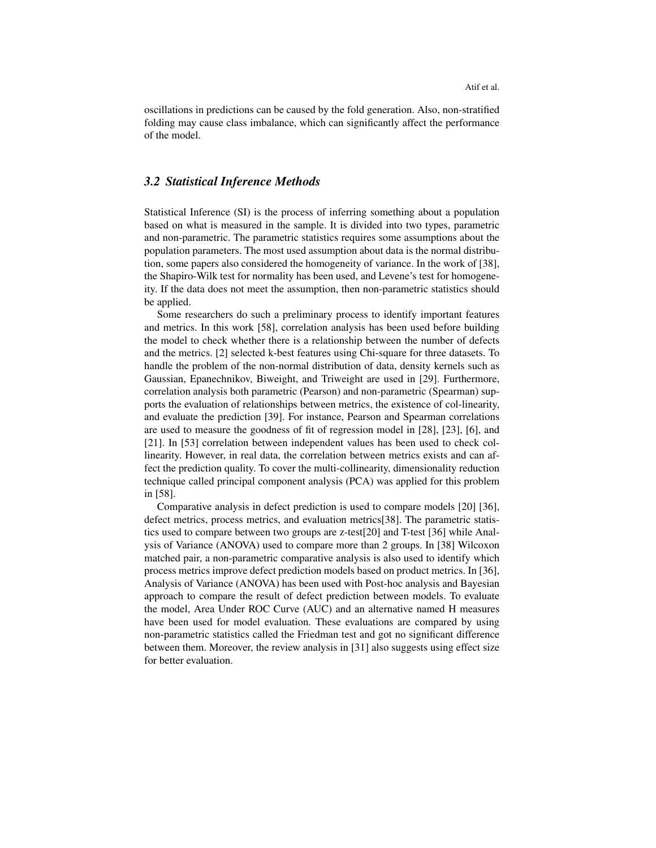Atif et al.

oscillations in predictions can be caused by the fold generation. Also, non-stratified folding may cause class imbalance, which can significantly affect the performance of the model.

# *3.2 Statistical Inference Methods*

Statistical Inference (SI) is the process of inferring something about a population based on what is measured in the sample. It is divided into two types, parametric and non-parametric. The parametric statistics requires some assumptions about the population parameters. The most used assumption about data is the normal distribution, some papers also considered the homogeneity of variance. In the work of [38], the Shapiro-Wilk test for normality has been used, and Levene's test for homogeneity. If the data does not meet the assumption, then non-parametric statistics should be applied.

Some researchers do such a preliminary process to identify important features and metrics. In this work [58], correlation analysis has been used before building the model to check whether there is a relationship between the number of defects and the metrics. [2] selected k-best features using Chi-square for three datasets. To handle the problem of the non-normal distribution of data, density kernels such as Gaussian, Epanechnikov, Biweight, and Triweight are used in [29]. Furthermore, correlation analysis both parametric (Pearson) and non-parametric (Spearman) supports the evaluation of relationships between metrics, the existence of col-linearity, and evaluate the prediction [39]. For instance, Pearson and Spearman correlations are used to measure the goodness of fit of regression model in [28], [23], [6], and [21]. In [53] correlation between independent values has been used to check collinearity. However, in real data, the correlation between metrics exists and can affect the prediction quality. To cover the multi-collinearity, dimensionality reduction technique called principal component analysis (PCA) was applied for this problem in [58].

Comparative analysis in defect prediction is used to compare models [20] [36], defect metrics, process metrics, and evaluation metrics[38]. The parametric statistics used to compare between two groups are z-test[20] and T-test [36] while Analysis of Variance (ANOVA) used to compare more than 2 groups. In [38] Wilcoxon matched pair, a non-parametric comparative analysis is also used to identify which process metrics improve defect prediction models based on product metrics. In [36], Analysis of Variance (ANOVA) has been used with Post-hoc analysis and Bayesian approach to compare the result of defect prediction between models. To evaluate the model, Area Under ROC Curve (AUC) and an alternative named H measures have been used for model evaluation. These evaluations are compared by using non-parametric statistics called the Friedman test and got no significant difference between them. Moreover, the review analysis in [31] also suggests using effect size for better evaluation.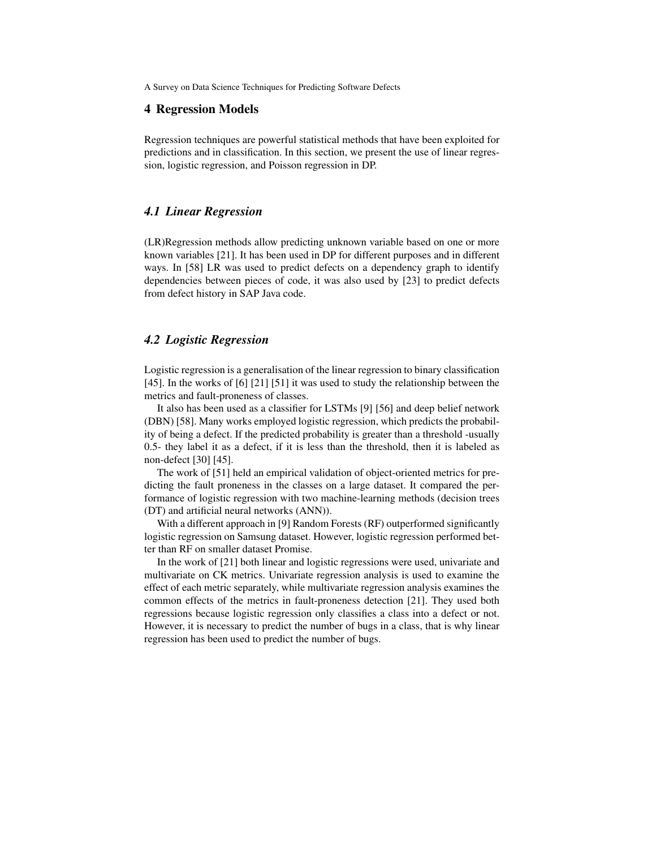#### 4 Regression Models

Regression techniques are powerful statistical methods that have been exploited for predictions and in classification. In this section, we present the use of linear regression, logistic regression, and Poisson regression in DP.

# *4.1 Linear Regression*

(LR)Regression methods allow predicting unknown variable based on one or more known variables [21]. It has been used in DP for different purposes and in different ways. In [58] LR was used to predict defects on a dependency graph to identify dependencies between pieces of code, it was also used by [23] to predict defects from defect history in SAP Java code.

# *4.2 Logistic Regression*

Logistic regression is a generalisation of the linear regression to binary classification [45]. In the works of [6] [21] [51] it was used to study the relationship between the metrics and fault-proneness of classes.

It also has been used as a classifier for LSTMs [9] [56] and deep belief network (DBN) [58]. Many works employed logistic regression, which predicts the probability of being a defect. If the predicted probability is greater than a threshold -usually 0.5- they label it as a defect, if it is less than the threshold, then it is labeled as non-defect [30] [45].

The work of [51] held an empirical validation of object-oriented metrics for predicting the fault proneness in the classes on a large dataset. It compared the performance of logistic regression with two machine-learning methods (decision trees (DT) and artificial neural networks (ANN)).

With a different approach in [9] Random Forests (RF) outperformed significantly logistic regression on Samsung dataset. However, logistic regression performed better than RF on smaller dataset Promise.

In the work of [21] both linear and logistic regressions were used, univariate and multivariate on CK metrics. Univariate regression analysis is used to examine the effect of each metric separately, while multivariate regression analysis examines the common effects of the metrics in fault-proneness detection [21]. They used both regressions because logistic regression only classifies a class into a defect or not. However, it is necessary to predict the number of bugs in a class, that is why linear regression has been used to predict the number of bugs.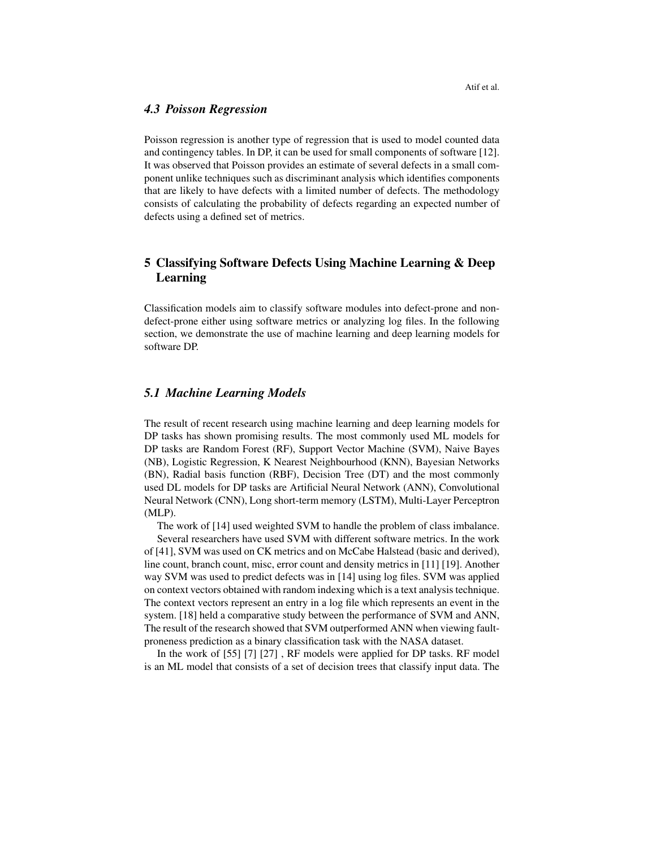### *4.3 Poisson Regression*

Poisson regression is another type of regression that is used to model counted data and contingency tables. In DP, it can be used for small components of software [12]. It was observed that Poisson provides an estimate of several defects in a small component unlike techniques such as discriminant analysis which identifies components that are likely to have defects with a limited number of defects. The methodology consists of calculating the probability of defects regarding an expected number of defects using a defined set of metrics.

# 5 Classifying Software Defects Using Machine Learning & Deep Learning

Classification models aim to classify software modules into defect-prone and nondefect-prone either using software metrics or analyzing log files. In the following section, we demonstrate the use of machine learning and deep learning models for software DP.

# *5.1 Machine Learning Models*

The result of recent research using machine learning and deep learning models for DP tasks has shown promising results. The most commonly used ML models for DP tasks are Random Forest (RF), Support Vector Machine (SVM), Naive Bayes (NB), Logistic Regression, K Nearest Neighbourhood (KNN), Bayesian Networks (BN), Radial basis function (RBF), Decision Tree (DT) and the most commonly used DL models for DP tasks are Artificial Neural Network (ANN), Convolutional Neural Network (CNN), Long short-term memory (LSTM), Multi-Layer Perceptron (MLP).

The work of [14] used weighted SVM to handle the problem of class imbalance. Several researchers have used SVM with different software metrics. In the work of [41], SVM was used on CK metrics and on McCabe Halstead (basic and derived), line count, branch count, misc, error count and density metrics in [11] [19]. Another way SVM was used to predict defects was in [14] using log files. SVM was applied on context vectors obtained with random indexing which is a text analysis technique. The context vectors represent an entry in a log file which represents an event in the system. [18] held a comparative study between the performance of SVM and ANN, The result of the research showed that SVM outperformed ANN when viewing faultproneness prediction as a binary classification task with the NASA dataset.

In the work of [55] [7] [27] , RF models were applied for DP tasks. RF model is an ML model that consists of a set of decision trees that classify input data. The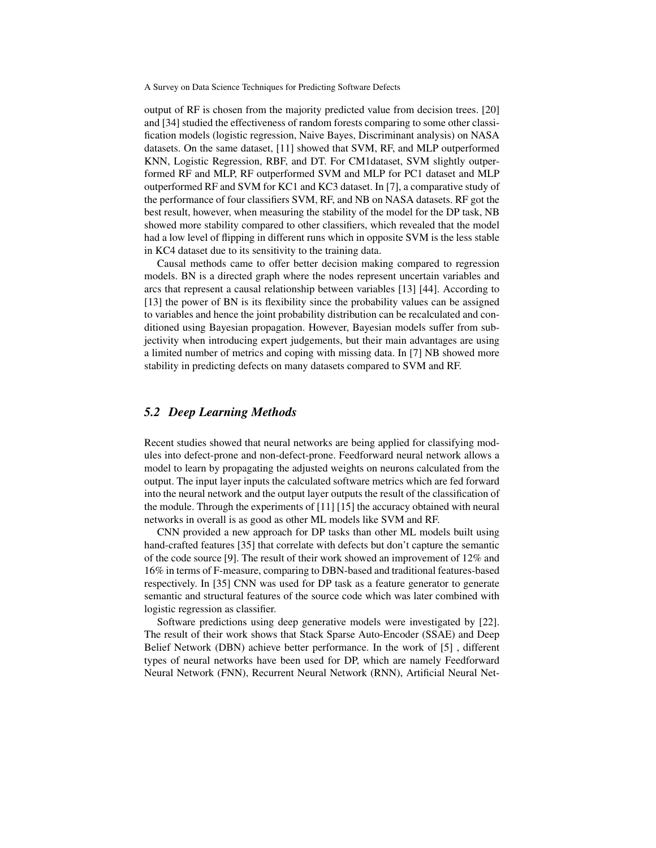output of RF is chosen from the majority predicted value from decision trees. [20] and [34] studied the effectiveness of random forests comparing to some other classification models (logistic regression, Naive Bayes, Discriminant analysis) on NASA datasets. On the same dataset, [11] showed that SVM, RF, and MLP outperformed KNN, Logistic Regression, RBF, and DT. For CM1dataset, SVM slightly outperformed RF and MLP, RF outperformed SVM and MLP for PC1 dataset and MLP outperformed RF and SVM for KC1 and KC3 dataset. In [7], a comparative study of the performance of four classifiers SVM, RF, and NB on NASA datasets. RF got the best result, however, when measuring the stability of the model for the DP task, NB showed more stability compared to other classifiers, which revealed that the model had a low level of flipping in different runs which in opposite SVM is the less stable in KC4 dataset due to its sensitivity to the training data.

Causal methods came to offer better decision making compared to regression models. BN is a directed graph where the nodes represent uncertain variables and arcs that represent a causal relationship between variables [13] [44]. According to [13] the power of BN is its flexibility since the probability values can be assigned to variables and hence the joint probability distribution can be recalculated and conditioned using Bayesian propagation. However, Bayesian models suffer from subjectivity when introducing expert judgements, but their main advantages are using a limited number of metrics and coping with missing data. In [7] NB showed more stability in predicting defects on many datasets compared to SVM and RF.

# *5.2 Deep Learning Methods*

Recent studies showed that neural networks are being applied for classifying modules into defect-prone and non-defect-prone. Feedforward neural network allows a model to learn by propagating the adjusted weights on neurons calculated from the output. The input layer inputs the calculated software metrics which are fed forward into the neural network and the output layer outputs the result of the classification of the module. Through the experiments of [11] [15] the accuracy obtained with neural networks in overall is as good as other ML models like SVM and RF.

CNN provided a new approach for DP tasks than other ML models built using hand-crafted features [35] that correlate with defects but don't capture the semantic of the code source [9]. The result of their work showed an improvement of 12% and 16% in terms of F-measure, comparing to DBN-based and traditional features-based respectively. In [35] CNN was used for DP task as a feature generator to generate semantic and structural features of the source code which was later combined with logistic regression as classifier.

Software predictions using deep generative models were investigated by [22]. The result of their work shows that Stack Sparse Auto-Encoder (SSAE) and Deep Belief Network (DBN) achieve better performance. In the work of [5] , different types of neural networks have been used for DP, which are namely Feedforward Neural Network (FNN), Recurrent Neural Network (RNN), Artificial Neural Net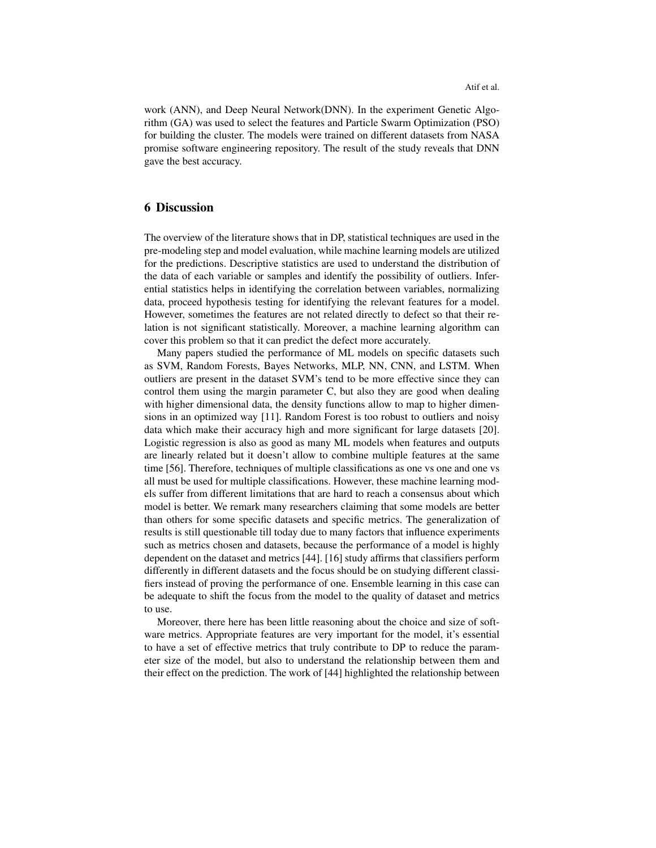work (ANN), and Deep Neural Network(DNN). In the experiment Genetic Algorithm (GA) was used to select the features and Particle Swarm Optimization (PSO) for building the cluster. The models were trained on different datasets from NASA promise software engineering repository. The result of the study reveals that DNN gave the best accuracy.

# 6 Discussion

The overview of the literature shows that in DP, statistical techniques are used in the pre-modeling step and model evaluation, while machine learning models are utilized for the predictions. Descriptive statistics are used to understand the distribution of the data of each variable or samples and identify the possibility of outliers. Inferential statistics helps in identifying the correlation between variables, normalizing data, proceed hypothesis testing for identifying the relevant features for a model. However, sometimes the features are not related directly to defect so that their relation is not significant statistically. Moreover, a machine learning algorithm can cover this problem so that it can predict the defect more accurately.

Many papers studied the performance of ML models on specific datasets such as SVM, Random Forests, Bayes Networks, MLP, NN, CNN, and LSTM. When outliers are present in the dataset SVM's tend to be more effective since they can control them using the margin parameter C, but also they are good when dealing with higher dimensional data, the density functions allow to map to higher dimensions in an optimized way [11]. Random Forest is too robust to outliers and noisy data which make their accuracy high and more significant for large datasets [20]. Logistic regression is also as good as many ML models when features and outputs are linearly related but it doesn't allow to combine multiple features at the same time [56]. Therefore, techniques of multiple classifications as one vs one and one vs all must be used for multiple classifications. However, these machine learning models suffer from different limitations that are hard to reach a consensus about which model is better. We remark many researchers claiming that some models are better than others for some specific datasets and specific metrics. The generalization of results is still questionable till today due to many factors that influence experiments such as metrics chosen and datasets, because the performance of a model is highly dependent on the dataset and metrics [44]. [16] study affirms that classifiers perform differently in different datasets and the focus should be on studying different classifiers instead of proving the performance of one. Ensemble learning in this case can be adequate to shift the focus from the model to the quality of dataset and metrics to use.

Moreover, there here has been little reasoning about the choice and size of software metrics. Appropriate features are very important for the model, it's essential to have a set of effective metrics that truly contribute to DP to reduce the parameter size of the model, but also to understand the relationship between them and their effect on the prediction. The work of [44] highlighted the relationship between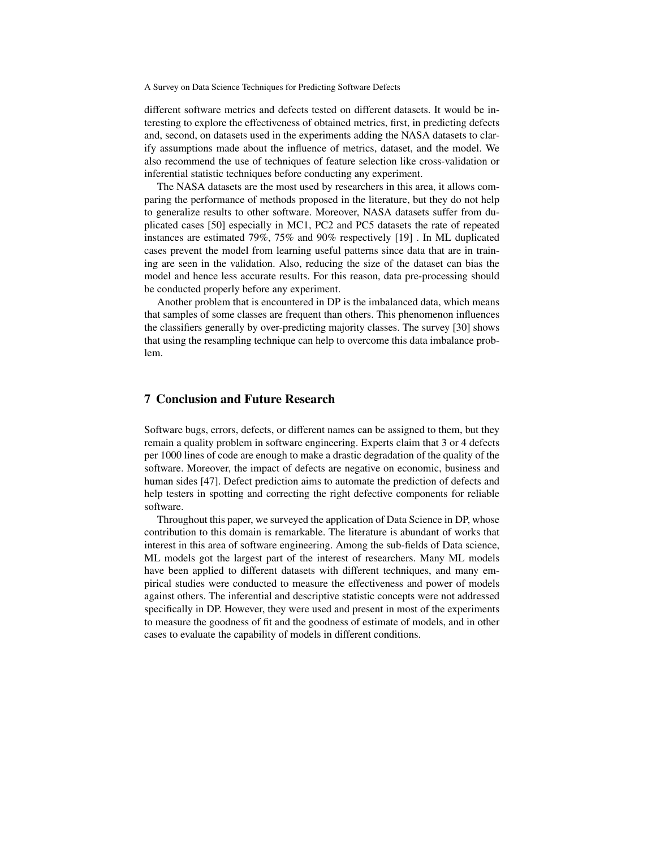different software metrics and defects tested on different datasets. It would be interesting to explore the effectiveness of obtained metrics, first, in predicting defects and, second, on datasets used in the experiments adding the NASA datasets to clarify assumptions made about the influence of metrics, dataset, and the model. We also recommend the use of techniques of feature selection like cross-validation or inferential statistic techniques before conducting any experiment.

The NASA datasets are the most used by researchers in this area, it allows comparing the performance of methods proposed in the literature, but they do not help to generalize results to other software. Moreover, NASA datasets suffer from duplicated cases [50] especially in MC1, PC2 and PC5 datasets the rate of repeated instances are estimated 79%, 75% and 90% respectively [19] . In ML duplicated cases prevent the model from learning useful patterns since data that are in training are seen in the validation. Also, reducing the size of the dataset can bias the model and hence less accurate results. For this reason, data pre-processing should be conducted properly before any experiment.

Another problem that is encountered in DP is the imbalanced data, which means that samples of some classes are frequent than others. This phenomenon influences the classifiers generally by over-predicting majority classes. The survey [30] shows that using the resampling technique can help to overcome this data imbalance problem.

#### 7 Conclusion and Future Research

Software bugs, errors, defects, or different names can be assigned to them, but they remain a quality problem in software engineering. Experts claim that 3 or 4 defects per 1000 lines of code are enough to make a drastic degradation of the quality of the software. Moreover, the impact of defects are negative on economic, business and human sides [47]. Defect prediction aims to automate the prediction of defects and help testers in spotting and correcting the right defective components for reliable software.

Throughout this paper, we surveyed the application of Data Science in DP, whose contribution to this domain is remarkable. The literature is abundant of works that interest in this area of software engineering. Among the sub-fields of Data science, ML models got the largest part of the interest of researchers. Many ML models have been applied to different datasets with different techniques, and many empirical studies were conducted to measure the effectiveness and power of models against others. The inferential and descriptive statistic concepts were not addressed specifically in DP. However, they were used and present in most of the experiments to measure the goodness of fit and the goodness of estimate of models, and in other cases to evaluate the capability of models in different conditions.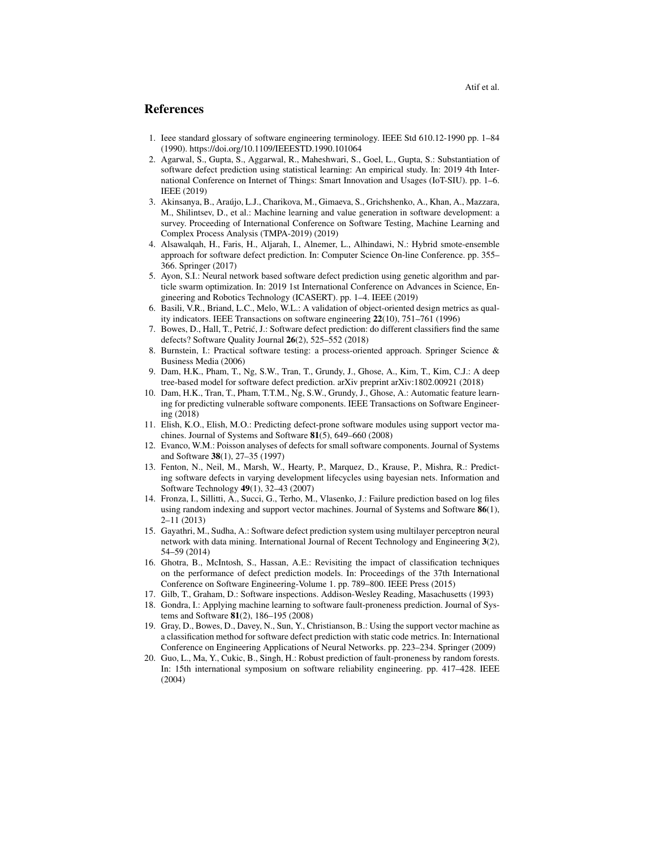## References

- 1. Ieee standard glossary of software engineering terminology. IEEE Std 610.12-1990 pp. 1–84 (1990). https://doi.org/10.1109/IEEESTD.1990.101064
- 2. Agarwal, S., Gupta, S., Aggarwal, R., Maheshwari, S., Goel, L., Gupta, S.: Substantiation of software defect prediction using statistical learning: An empirical study. In: 2019 4th International Conference on Internet of Things: Smart Innovation and Usages (IoT-SIU). pp. 1–6. IEEE (2019)
- 3. Akinsanya, B., Araujo, L.J., Charikova, M., Gimaeva, S., Grichshenko, A., Khan, A., Mazzara, ´ M., Shilintsev, D., et al.: Machine learning and value generation in software development: a survey. Proceeding of International Conference on Software Testing, Machine Learning and Complex Process Analysis (TMPA-2019) (2019)
- 4. Alsawalqah, H., Faris, H., Aljarah, I., Alnemer, L., Alhindawi, N.: Hybrid smote-ensemble approach for software defect prediction. In: Computer Science On-line Conference. pp. 355– 366. Springer (2017)
- 5. Ayon, S.I.: Neural network based software defect prediction using genetic algorithm and particle swarm optimization. In: 2019 1st International Conference on Advances in Science, Engineering and Robotics Technology (ICASERT). pp. 1–4. IEEE (2019)
- 6. Basili, V.R., Briand, L.C., Melo, W.L.: A validation of object-oriented design metrics as quality indicators. IEEE Transactions on software engineering 22(10), 751–761 (1996)
- 7. Bowes, D., Hall, T., Petric, J.: Software defect prediction: do different classifiers find the same ´ defects? Software Quality Journal 26(2), 525–552 (2018)
- 8. Burnstein, I.: Practical software testing: a process-oriented approach. Springer Science & Business Media (2006)
- 9. Dam, H.K., Pham, T., Ng, S.W., Tran, T., Grundy, J., Ghose, A., Kim, T., Kim, C.J.: A deep tree-based model for software defect prediction. arXiv preprint arXiv:1802.00921 (2018)
- 10. Dam, H.K., Tran, T., Pham, T.T.M., Ng, S.W., Grundy, J., Ghose, A.: Automatic feature learning for predicting vulnerable software components. IEEE Transactions on Software Engineering (2018)
- 11. Elish, K.O., Elish, M.O.: Predicting defect-prone software modules using support vector machines. Journal of Systems and Software  $81(5)$ , 649–660 (2008)
- 12. Evanco, W.M.: Poisson analyses of defects for small software components. Journal of Systems and Software 38(1), 27–35 (1997)
- 13. Fenton, N., Neil, M., Marsh, W., Hearty, P., Marquez, D., Krause, P., Mishra, R.: Predicting software defects in varying development lifecycles using bayesian nets. Information and Software Technology 49(1), 32–43 (2007)
- 14. Fronza, I., Sillitti, A., Succi, G., Terho, M., Vlasenko, J.: Failure prediction based on log files using random indexing and support vector machines. Journal of Systems and Software 86(1), 2–11 (2013)
- 15. Gayathri, M., Sudha, A.: Software defect prediction system using multilayer perceptron neural network with data mining. International Journal of Recent Technology and Engineering 3(2), 54–59 (2014)
- 16. Ghotra, B., McIntosh, S., Hassan, A.E.: Revisiting the impact of classification techniques on the performance of defect prediction models. In: Proceedings of the 37th International Conference on Software Engineering-Volume 1. pp. 789–800. IEEE Press (2015)
- 17. Gilb, T., Graham, D.: Software inspections. Addison-Wesley Reading, Masachusetts (1993)
- 18. Gondra, I.: Applying machine learning to software fault-proneness prediction. Journal of Systems and Software 81(2), 186–195 (2008)
- 19. Gray, D., Bowes, D., Davey, N., Sun, Y., Christianson, B.: Using the support vector machine as a classification method for software defect prediction with static code metrics. In: International Conference on Engineering Applications of Neural Networks. pp. 223–234. Springer (2009)
- 20. Guo, L., Ma, Y., Cukic, B., Singh, H.: Robust prediction of fault-proneness by random forests. In: 15th international symposium on software reliability engineering. pp. 417–428. IEEE (2004)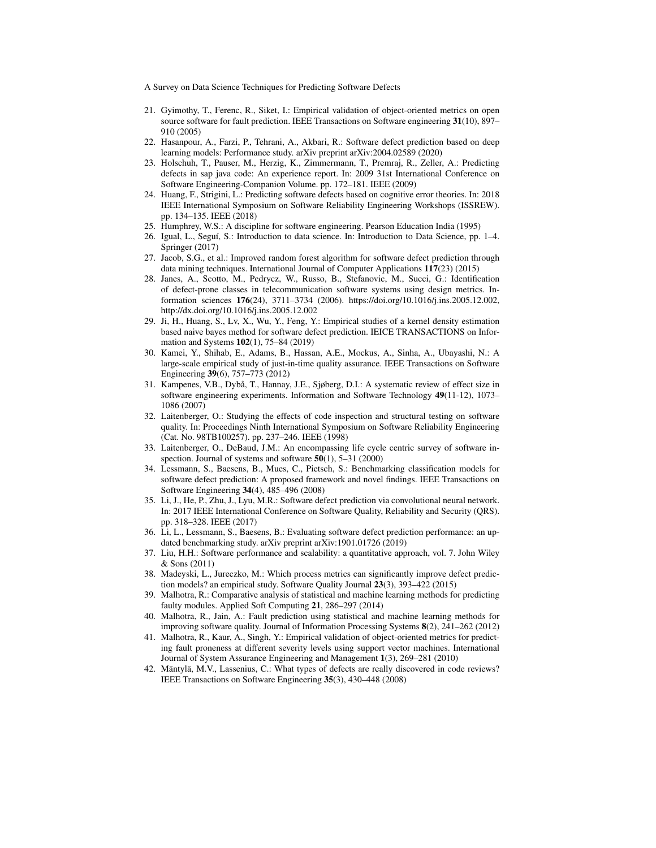- 21. Gyimothy, T., Ferenc, R., Siket, I.: Empirical validation of object-oriented metrics on open source software for fault prediction. IEEE Transactions on Software engineering 31(10), 897– 910 (2005)
- 22. Hasanpour, A., Farzi, P., Tehrani, A., Akbari, R.: Software defect prediction based on deep learning models: Performance study. arXiv preprint arXiv:2004.02589 (2020)
- 23. Holschuh, T., Pauser, M., Herzig, K., Zimmermann, T., Premraj, R., Zeller, A.: Predicting defects in sap java code: An experience report. In: 2009 31st International Conference on Software Engineering-Companion Volume. pp. 172–181. IEEE (2009)
- 24. Huang, F., Strigini, L.: Predicting software defects based on cognitive error theories. In: 2018 IEEE International Symposium on Software Reliability Engineering Workshops (ISSREW). pp. 134–135. IEEE (2018)
- 25. Humphrey, W.S.: A discipline for software engineering. Pearson Education India (1995)
- 26. Igual, L., Seguí, S.: Introduction to data science. In: Introduction to Data Science, pp. 1–4. Springer (2017)
- 27. Jacob, S.G., et al.: Improved random forest algorithm for software defect prediction through data mining techniques. International Journal of Computer Applications 117(23) (2015)
- 28. Janes, A., Scotto, M., Pedrycz, W., Russo, B., Stefanovic, M., Succi, G.: Identification of defect-prone classes in telecommunication software systems using design metrics. Information sciences 176(24), 3711–3734 (2006). https://doi.org/10.1016/j.ins.2005.12.002, http://dx.doi.org/10.1016/j.ins.2005.12.002
- 29. Ji, H., Huang, S., Lv, X., Wu, Y., Feng, Y.: Empirical studies of a kernel density estimation based naive bayes method for software defect prediction. IEICE TRANSACTIONS on Information and Systems 102(1), 75–84 (2019)
- 30. Kamei, Y., Shihab, E., Adams, B., Hassan, A.E., Mockus, A., Sinha, A., Ubayashi, N.: A large-scale empirical study of just-in-time quality assurance. IEEE Transactions on Software Engineering 39(6), 757–773 (2012)
- 31. Kampenes, V.B., Dybå, T., Hannay, J.E., Sjøberg, D.I.: A systematic review of effect size in software engineering experiments. Information and Software Technology 49(11-12), 1073– 1086 (2007)
- 32. Laitenberger, O.: Studying the effects of code inspection and structural testing on software quality. In: Proceedings Ninth International Symposium on Software Reliability Engineering (Cat. No. 98TB100257). pp. 237–246. IEEE (1998)
- 33. Laitenberger, O., DeBaud, J.M.: An encompassing life cycle centric survey of software inspection. Journal of systems and software  $50(1)$ ,  $5-31(2000)$
- 34. Lessmann, S., Baesens, B., Mues, C., Pietsch, S.: Benchmarking classification models for software defect prediction: A proposed framework and novel findings. IEEE Transactions on Software Engineering 34(4), 485–496 (2008)
- 35. Li, J., He, P., Zhu, J., Lyu, M.R.: Software defect prediction via convolutional neural network. In: 2017 IEEE International Conference on Software Quality, Reliability and Security (QRS). pp. 318–328. IEEE (2017)
- 36. Li, L., Lessmann, S., Baesens, B.: Evaluating software defect prediction performance: an updated benchmarking study. arXiv preprint arXiv:1901.01726 (2019)
- 37. Liu, H.H.: Software performance and scalability: a quantitative approach, vol. 7. John Wiley & Sons (2011)
- 38. Madeyski, L., Jureczko, M.: Which process metrics can significantly improve defect prediction models? an empirical study. Software Quality Journal 23(3), 393–422 (2015)
- 39. Malhotra, R.: Comparative analysis of statistical and machine learning methods for predicting faulty modules. Applied Soft Computing 21, 286–297 (2014)
- 40. Malhotra, R., Jain, A.: Fault prediction using statistical and machine learning methods for improving software quality. Journal of Information Processing Systems 8(2), 241–262 (2012)
- 41. Malhotra, R., Kaur, A., Singh, Y.: Empirical validation of object-oriented metrics for predicting fault proneness at different severity levels using support vector machines. International Journal of System Assurance Engineering and Management 1(3), 269–281 (2010)
- 42. Mäntylä, M.V., Lassenius, C.: What types of defects are really discovered in code reviews? IEEE Transactions on Software Engineering 35(3), 430–448 (2008)